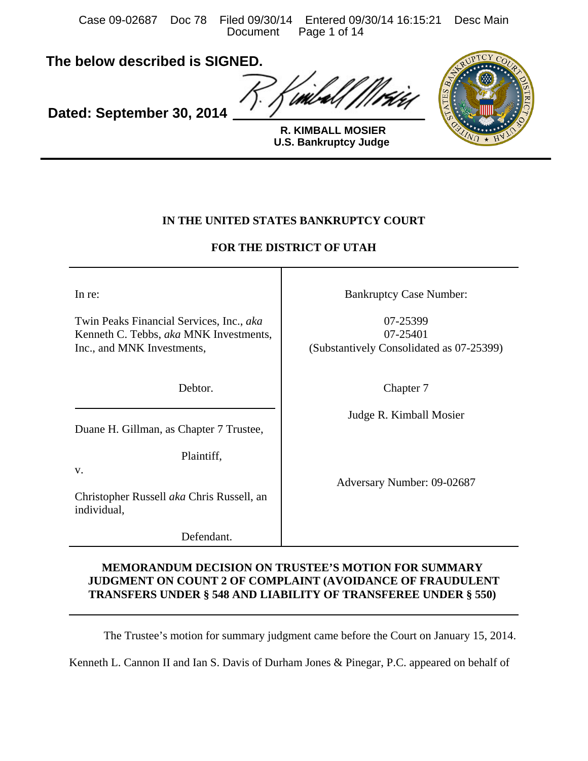Case 09-02687 Doc 78 Filed 09/30/14 Entered 09/30/14 16:15:21 Desc Main Page 1 of 14

**The below described is SIGNED.**

**Dated: September 30, 2014**



**U.S. Bankruptcy Judge R. KIMBALL MOSIER**

# **IN THE UNITED STATES BANKRUPTCY COURT**

# **FOR THE DISTRICT OF UTAH**

In re:

Twin Peaks Financial Services, Inc., *aka* Kenneth C. Tebbs, *aka* MNK Investments, Inc., and MNK Investments,

Debtor.

Duane H. Gillman, as Chapter 7 Trustee,

Plaintiff,

v.

Christopher Russell *aka* Chris Russell, an individual,

Defendant.

Bankruptcy Case Number:

07-25399 07-25401 (Substantively Consolidated as 07-25399)

Chapter 7

Judge R. Kimball Mosier

Adversary Number: 09-02687

# **MEMORANDUM DECISION ON TRUSTEE'S MOTION FOR SUMMARY JUDGMENT ON COUNT 2 OF COMPLAINT (AVOIDANCE OF FRAUDULENT TRANSFERS UNDER § 548 AND LIABILITY OF TRANSFEREE UNDER § 550)**

The Trustee's motion for summary judgment came before the Court on January 15, 2014.

Kenneth L. Cannon II and Ian S. Davis of Durham Jones & Pinegar, P.C. appeared on behalf of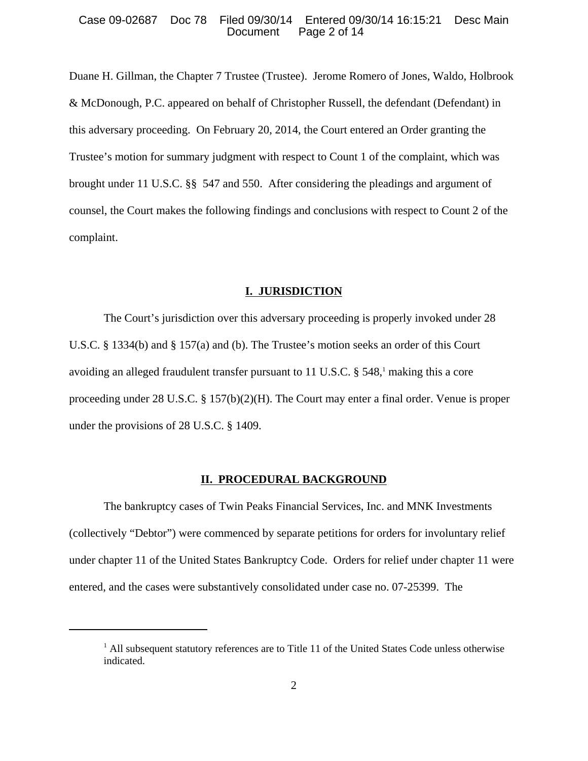#### Case 09-02687 Doc 78 Filed 09/30/14 Entered 09/30/14 16:15:21 Desc Main Page 2 of 14

Duane H. Gillman, the Chapter 7 Trustee (Trustee). Jerome Romero of Jones, Waldo, Holbrook & McDonough, P.C. appeared on behalf of Christopher Russell, the defendant (Defendant) in this adversary proceeding. On February 20, 2014, the Court entered an Order granting the Trustee's motion for summary judgment with respect to Count 1 of the complaint, which was brought under 11 U.S.C. §§ 547 and 550. After considering the pleadings and argument of counsel, the Court makes the following findings and conclusions with respect to Count 2 of the complaint.

#### **I. JURISDICTION**

The Court's jurisdiction over this adversary proceeding is properly invoked under 28 U.S.C. § 1334(b) and § 157(a) and (b). The Trustee's motion seeks an order of this Court avoiding an alleged fraudulent transfer pursuant to 11 U.S.C. § 548,<sup>1</sup> making this a core proceeding under 28 U.S.C. § 157(b)(2)(H). The Court may enter a final order. Venue is proper under the provisions of 28 U.S.C. § 1409.

#### **II. PROCEDURAL BACKGROUND**

The bankruptcy cases of Twin Peaks Financial Services, Inc. and MNK Investments (collectively "Debtor") were commenced by separate petitions for orders for involuntary relief under chapter 11 of the United States Bankruptcy Code. Orders for relief under chapter 11 were entered, and the cases were substantively consolidated under case no. 07-25399. The

 $<sup>1</sup>$  All subsequent statutory references are to Title 11 of the United States Code unless otherwise</sup> indicated.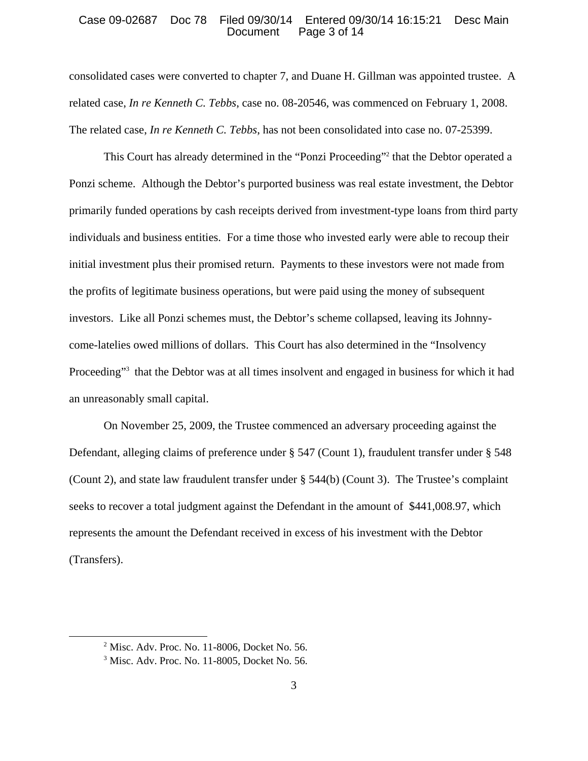#### Case 09-02687 Doc 78 Filed 09/30/14 Entered 09/30/14 16:15:21 Desc Main Page 3 of 14

consolidated cases were converted to chapter 7, and Duane H. Gillman was appointed trustee. A related case, *In re Kenneth C. Tebbs*, case no. 08-20546, was commenced on February 1, 2008. The related case, *In re Kenneth C. Tebbs*, has not been consolidated into case no. 07-25399.

This Court has already determined in the "Ponzi Proceeding"<sup>2</sup> that the Debtor operated a Ponzi scheme. Although the Debtor's purported business was real estate investment, the Debtor primarily funded operations by cash receipts derived from investment-type loans from third party individuals and business entities. For a time those who invested early were able to recoup their initial investment plus their promised return. Payments to these investors were not made from the profits of legitimate business operations, but were paid using the money of subsequent investors. Like all Ponzi schemes must, the Debtor's scheme collapsed, leaving its Johnnycome-latelies owed millions of dollars. This Court has also determined in the "Insolvency Proceeding"<sup>3</sup> that the Debtor was at all times insolvent and engaged in business for which it had an unreasonably small capital.

On November 25, 2009, the Trustee commenced an adversary proceeding against the Defendant, alleging claims of preference under § 547 (Count 1), fraudulent transfer under § 548 (Count 2), and state law fraudulent transfer under § 544(b) (Count 3). The Trustee's complaint seeks to recover a total judgment against the Defendant in the amount of \$441,008.97, which represents the amount the Defendant received in excess of his investment with the Debtor (Transfers).

<sup>2</sup> Misc. Adv. Proc. No. 11-8006, Docket No. 56.

<sup>3</sup> Misc. Adv. Proc. No. 11-8005, Docket No. 56.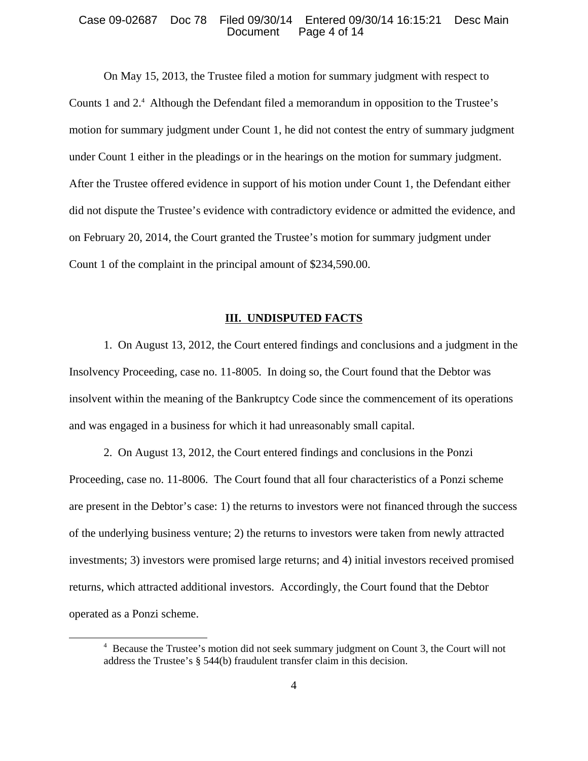#### Case 09-02687 Doc 78 Filed 09/30/14 Entered 09/30/14 16:15:21 Desc Main Page 4 of 14

On May 15, 2013, the Trustee filed a motion for summary judgment with respect to Counts 1 and 2.<sup>4</sup> Although the Defendant filed a memorandum in opposition to the Trustee's motion for summary judgment under Count 1, he did not contest the entry of summary judgment under Count 1 either in the pleadings or in the hearings on the motion for summary judgment. After the Trustee offered evidence in support of his motion under Count 1, the Defendant either did not dispute the Trustee's evidence with contradictory evidence or admitted the evidence, and on February 20, 2014, the Court granted the Trustee's motion for summary judgment under Count 1 of the complaint in the principal amount of \$234,590.00.

### **III. UNDISPUTED FACTS**

1. On August 13, 2012, the Court entered findings and conclusions and a judgment in the Insolvency Proceeding, case no. 11-8005. In doing so, the Court found that the Debtor was insolvent within the meaning of the Bankruptcy Code since the commencement of its operations and was engaged in a business for which it had unreasonably small capital.

2. On August 13, 2012, the Court entered findings and conclusions in the Ponzi Proceeding, case no. 11-8006. The Court found that all four characteristics of a Ponzi scheme are present in the Debtor's case: 1) the returns to investors were not financed through the success of the underlying business venture; 2) the returns to investors were taken from newly attracted investments; 3) investors were promised large returns; and 4) initial investors received promised returns, which attracted additional investors. Accordingly, the Court found that the Debtor operated as a Ponzi scheme.

<sup>&</sup>lt;sup>4</sup> Because the Trustee's motion did not seek summary judgment on Count 3, the Court will not address the Trustee's § 544(b) fraudulent transfer claim in this decision.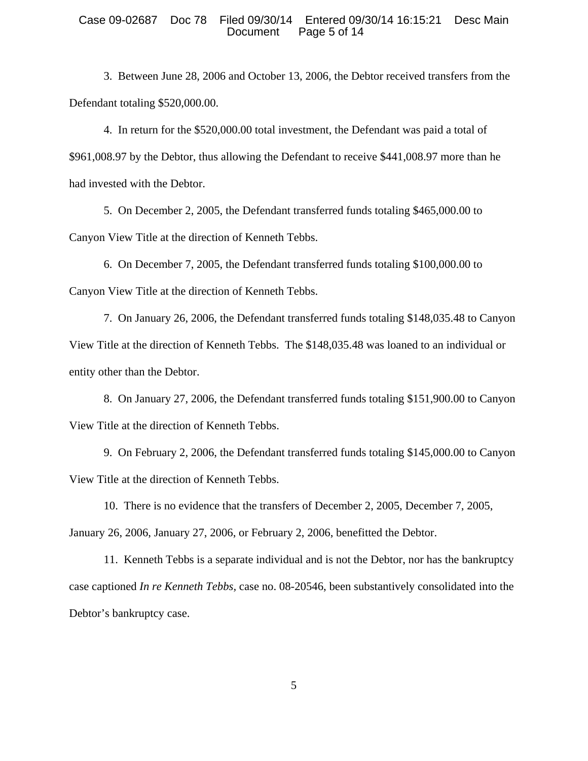#### Case 09-02687 Doc 78 Filed 09/30/14 Entered 09/30/14 16:15:21 Desc Main Page 5 of 14

3. Between June 28, 2006 and October 13, 2006, the Debtor received transfers from the Defendant totaling \$520,000.00.

4. In return for the \$520,000.00 total investment, the Defendant was paid a total of \$961,008.97 by the Debtor, thus allowing the Defendant to receive \$441,008.97 more than he had invested with the Debtor.

5. On December 2, 2005, the Defendant transferred funds totaling \$465,000.00 to Canyon View Title at the direction of Kenneth Tebbs.

6. On December 7, 2005, the Defendant transferred funds totaling \$100,000.00 to Canyon View Title at the direction of Kenneth Tebbs.

7. On January 26, 2006, the Defendant transferred funds totaling \$148,035.48 to Canyon View Title at the direction of Kenneth Tebbs. The \$148,035.48 was loaned to an individual or entity other than the Debtor.

8. On January 27, 2006, the Defendant transferred funds totaling \$151,900.00 to Canyon View Title at the direction of Kenneth Tebbs.

9. On February 2, 2006, the Defendant transferred funds totaling \$145,000.00 to Canyon View Title at the direction of Kenneth Tebbs.

10. There is no evidence that the transfers of December 2, 2005, December 7, 2005, January 26, 2006, January 27, 2006, or February 2, 2006, benefitted the Debtor.

11. Kenneth Tebbs is a separate individual and is not the Debtor, nor has the bankruptcy case captioned *In re Kenneth Tebbs,* case no. 08-20546, been substantively consolidated into the Debtor's bankruptcy case.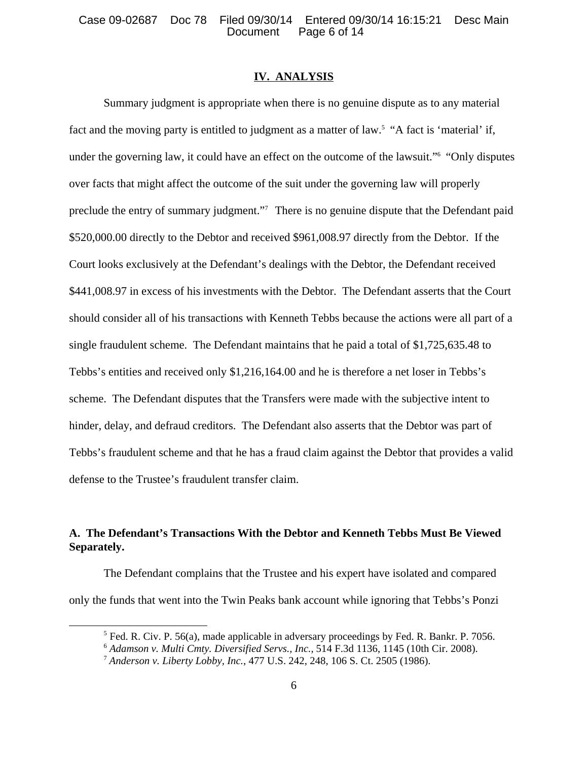## **IV. ANALYSIS**

Summary judgment is appropriate when there is no genuine dispute as to any material fact and the moving party is entitled to judgment as a matter of law.<sup>5</sup> "A fact is 'material' if, under the governing law, it could have an effect on the outcome of the lawsuit."<sup>6</sup> "Only disputes over facts that might affect the outcome of the suit under the governing law will properly preclude the entry of summary judgment."<sup>7</sup> There is no genuine dispute that the Defendant paid \$520,000.00 directly to the Debtor and received \$961,008.97 directly from the Debtor. If the Court looks exclusively at the Defendant's dealings with the Debtor, the Defendant received \$441,008.97 in excess of his investments with the Debtor. The Defendant asserts that the Court should consider all of his transactions with Kenneth Tebbs because the actions were all part of a single fraudulent scheme. The Defendant maintains that he paid a total of \$1,725,635.48 to Tebbs's entities and received only \$1,216,164.00 and he is therefore a net loser in Tebbs's scheme. The Defendant disputes that the Transfers were made with the subjective intent to hinder, delay, and defraud creditors. The Defendant also asserts that the Debtor was part of Tebbs's fraudulent scheme and that he has a fraud claim against the Debtor that provides a valid defense to the Trustee's fraudulent transfer claim.

# **A. The Defendant's Transactions With the Debtor and Kenneth Tebbs Must Be Viewed Separately.**

The Defendant complains that the Trustee and his expert have isolated and compared only the funds that went into the Twin Peaks bank account while ignoring that Tebbs's Ponzi

 $<sup>5</sup>$  Fed. R. Civ. P. 56(a), made applicable in adversary proceedings by Fed. R. Bankr. P. 7056.</sup>

<sup>6</sup>  *Adamson v. Multi Cmty. Diversified Servs., Inc.,* 514 F.3d 1136, 1145 (10th Cir. 2008).

<sup>7</sup> *Anderson v. Liberty Lobby, Inc.*, 477 U.S. 242, 248, 106 S. Ct. 2505 (1986).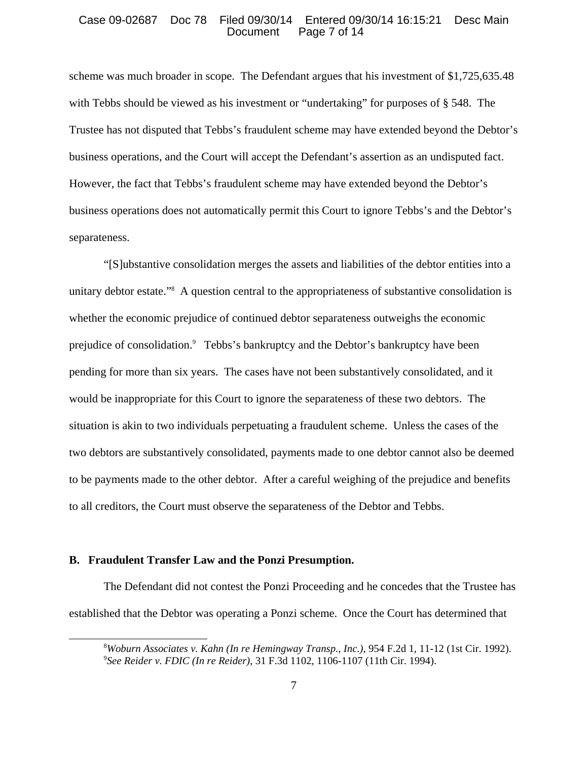#### Case 09-02687 Doc 78 Filed 09/30/14 Entered 09/30/14 16:15:21 Desc Main Page 7 of 14

scheme was much broader in scope. The Defendant argues that his investment of \$1,725,635.48 with Tebbs should be viewed as his investment or "undertaking" for purposes of § 548. The Trustee has not disputed that Tebbs's fraudulent scheme may have extended beyond the Debtor's business operations, and the Court will accept the Defendant's assertion as an undisputed fact. However, the fact that Tebbs's fraudulent scheme may have extended beyond the Debtor's business operations does not automatically permit this Court to ignore Tebbs's and the Debtor's separateness.

"[S]ubstantive consolidation merges the assets and liabilities of the debtor entities into a unitary debtor estate."8 A question central to the appropriateness of substantive consolidation is whether the economic prejudice of continued debtor separateness outweighs the economic prejudice of consolidation.<sup>9</sup> Tebbs's bankruptcy and the Debtor's bankruptcy have been pending for more than six years. The cases have not been substantively consolidated, and it would be inappropriate for this Court to ignore the separateness of these two debtors. The situation is akin to two individuals perpetuating a fraudulent scheme. Unless the cases of the two debtors are substantively consolidated, payments made to one debtor cannot also be deemed to be payments made to the other debtor. After a careful weighing of the prejudice and benefits to all creditors, the Court must observe the separateness of the Debtor and Tebbs.

### **B. Fraudulent Transfer Law and the Ponzi Presumption.**

The Defendant did not contest the Ponzi Proceeding and he concedes that the Trustee has established that the Debtor was operating a Ponzi scheme. Once the Court has determined that

<sup>8</sup> *Woburn Associates v. Kahn (In re Hemingway Transp., Inc.)*, 954 F.2d 1, 11-12 (1st Cir. 1992). 9 *See Reider v. FDIC (In re Reider)*, 31 F.3d 1102, 1106-1107 (11th Cir. 1994).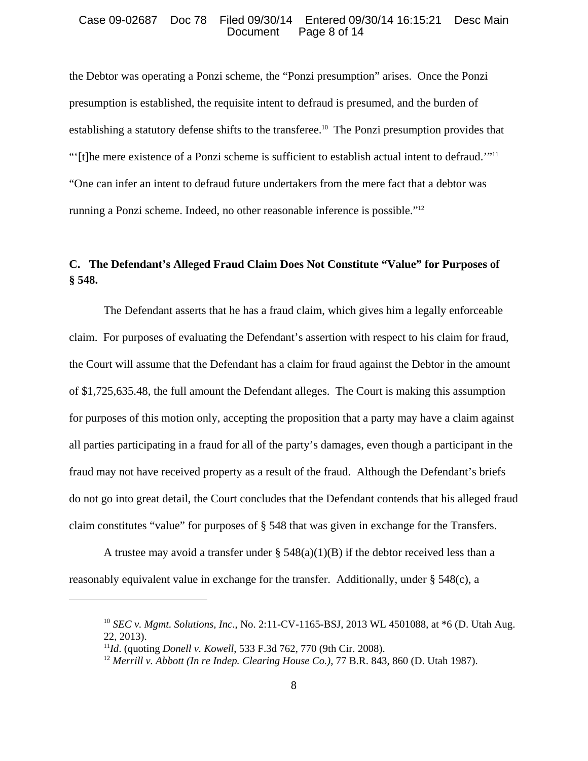#### Case 09-02687 Doc 78 Filed 09/30/14 Entered 09/30/14 16:15:21 Desc Main Page 8 of 14

the Debtor was operating a Ponzi scheme, the "Ponzi presumption" arises. Once the Ponzi presumption is established, the requisite intent to defraud is presumed, and the burden of establishing a statutory defense shifts to the transferee.10 The Ponzi presumption provides that "'[t]he mere existence of a Ponzi scheme is sufficient to establish actual intent to defraud.'"11 "One can infer an intent to defraud future undertakers from the mere fact that a debtor was running a Ponzi scheme. Indeed, no other reasonable inference is possible."12

# **C. The Defendant's Alleged Fraud Claim Does Not Constitute "Value" for Purposes of § 548.**

The Defendant asserts that he has a fraud claim, which gives him a legally enforceable claim. For purposes of evaluating the Defendant's assertion with respect to his claim for fraud, the Court will assume that the Defendant has a claim for fraud against the Debtor in the amount of \$1,725,635.48, the full amount the Defendant alleges. The Court is making this assumption for purposes of this motion only, accepting the proposition that a party may have a claim against all parties participating in a fraud for all of the party's damages, even though a participant in the fraud may not have received property as a result of the fraud. Although the Defendant's briefs do not go into great detail, the Court concludes that the Defendant contends that his alleged fraud claim constitutes "value" for purposes of § 548 that was given in exchange for the Transfers.

A trustee may avoid a transfer under  $\S$  548(a)(1)(B) if the debtor received less than a reasonably equivalent value in exchange for the transfer. Additionally, under § 548(c), a

<sup>10</sup> *SEC v. Mgmt. Solutions, Inc*., No. 2:11-CV-1165-BSJ, 2013 WL 4501088, at \*6 (D. Utah Aug. 22, 2013).

<sup>11</sup>*Id*. (quoting *Donell v. Kowell*, 533 F.3d 762, 770 (9th Cir. 2008).

<sup>12</sup> *Merrill v. Abbott (In re Indep. Clearing House Co.)*, 77 B.R. 843, 860 (D. Utah 1987).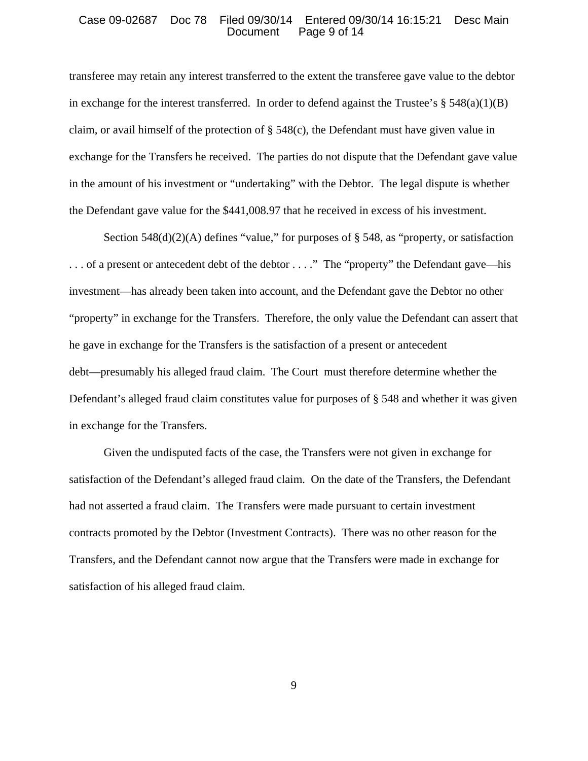#### Case 09-02687 Doc 78 Filed 09/30/14 Entered 09/30/14 16:15:21 Desc Main Page 9 of 14

transferee may retain any interest transferred to the extent the transferee gave value to the debtor in exchange for the interest transferred. In order to defend against the Trustee's  $\S$  548(a)(1)(B) claim, or avail himself of the protection of § 548(c), the Defendant must have given value in exchange for the Transfers he received. The parties do not dispute that the Defendant gave value in the amount of his investment or "undertaking" with the Debtor. The legal dispute is whether the Defendant gave value for the \$441,008.97 that he received in excess of his investment.

Section  $548(d)(2)(A)$  defines "value," for purposes of § 548, as "property, or satisfaction . . . of a present or antecedent debt of the debtor . . . ." The "property" the Defendant gave—his investment—has already been taken into account, and the Defendant gave the Debtor no other "property" in exchange for the Transfers. Therefore, the only value the Defendant can assert that he gave in exchange for the Transfers is the satisfaction of a present or antecedent debt—presumably his alleged fraud claim. The Court must therefore determine whether the Defendant's alleged fraud claim constitutes value for purposes of § 548 and whether it was given in exchange for the Transfers.

Given the undisputed facts of the case, the Transfers were not given in exchange for satisfaction of the Defendant's alleged fraud claim. On the date of the Transfers, the Defendant had not asserted a fraud claim. The Transfers were made pursuant to certain investment contracts promoted by the Debtor (Investment Contracts). There was no other reason for the Transfers, and the Defendant cannot now argue that the Transfers were made in exchange for satisfaction of his alleged fraud claim.

9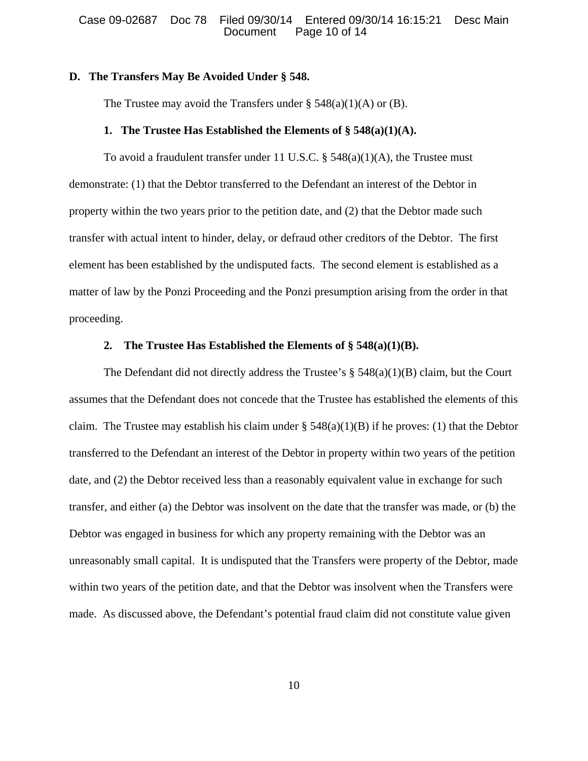#### **D. The Transfers May Be Avoided Under § 548.**

The Trustee may avoid the Transfers under  $\S$  548(a)(1)(A) or (B).

# **1. The Trustee Has Established the Elements of § 548(a)(1)(A).**

To avoid a fraudulent transfer under 11 U.S.C.  $\S$  548(a)(1)(A), the Trustee must demonstrate: (1) that the Debtor transferred to the Defendant an interest of the Debtor in property within the two years prior to the petition date, and (2) that the Debtor made such transfer with actual intent to hinder, delay, or defraud other creditors of the Debtor. The first element has been established by the undisputed facts. The second element is established as a matter of law by the Ponzi Proceeding and the Ponzi presumption arising from the order in that proceeding.

# **2. The Trustee Has Established the Elements of § 548(a)(1)(B).**

The Defendant did not directly address the Trustee's  $\S$  548(a)(1)(B) claim, but the Court assumes that the Defendant does not concede that the Trustee has established the elements of this claim. The Trustee may establish his claim under  $\S$  548(a)(1)(B) if he proves: (1) that the Debtor transferred to the Defendant an interest of the Debtor in property within two years of the petition date, and (2) the Debtor received less than a reasonably equivalent value in exchange for such transfer, and either (a) the Debtor was insolvent on the date that the transfer was made, or (b) the Debtor was engaged in business for which any property remaining with the Debtor was an unreasonably small capital. It is undisputed that the Transfers were property of the Debtor, made within two years of the petition date, and that the Debtor was insolvent when the Transfers were made. As discussed above, the Defendant's potential fraud claim did not constitute value given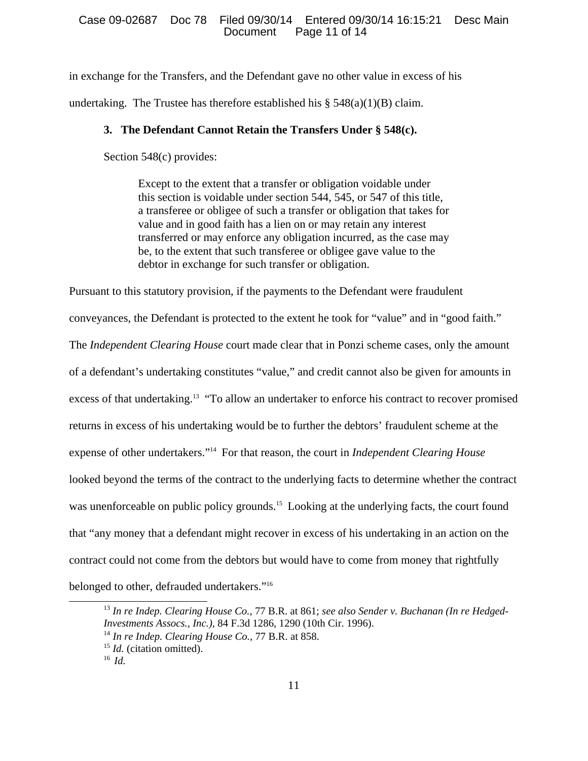#### Case 09-02687 Doc 78 Filed 09/30/14 Entered 09/30/14 16:15:21 Desc Main Page 11 of 14

in exchange for the Transfers, and the Defendant gave no other value in excess of his undertaking. The Trustee has therefore established his  $\S$  548(a)(1)(B) claim.

### **3. The Defendant Cannot Retain the Transfers Under § 548(c).**

Section 548(c) provides:

Except to the extent that a transfer or obligation voidable under this section is voidable under section 544, 545, or 547 of this title, a transferee or obligee of such a transfer or obligation that takes for value and in good faith has a lien on or may retain any interest transferred or may enforce any obligation incurred, as the case may be, to the extent that such transferee or obligee gave value to the debtor in exchange for such transfer or obligation.

Pursuant to this statutory provision, if the payments to the Defendant were fraudulent

conveyances, the Defendant is protected to the extent he took for "value" and in "good faith."

The *Independent Clearing House* court made clear that in Ponzi scheme cases, only the amount

of a defendant's undertaking constitutes "value," and credit cannot also be given for amounts in

excess of that undertaking.<sup>13</sup> "To allow an undertaker to enforce his contract to recover promised

returns in excess of his undertaking would be to further the debtors' fraudulent scheme at the

expense of other undertakers."14 For that reason, the court in *Independent Clearing House*

looked beyond the terms of the contract to the underlying facts to determine whether the contract

was unenforceable on public policy grounds.<sup>15</sup> Looking at the underlying facts, the court found

that "any money that a defendant might recover in excess of his undertaking in an action on the

contract could not come from the debtors but would have to come from money that rightfully

belonged to other, defrauded undertakers."16

<sup>13</sup> *In re Indep. Clearing House Co.*, 77 B.R. at 861; *see also Sender v. Buchanan (In re Hedged-Investments Assocs., Inc.),* 84 F.3d 1286, 1290 (10th Cir. 1996). 14 *In re Indep. Clearing House Co.*, 77 B.R. at 858.

<sup>&</sup>lt;sup>15</sup> *Id.* (citation omitted).

 $16$  *Id.*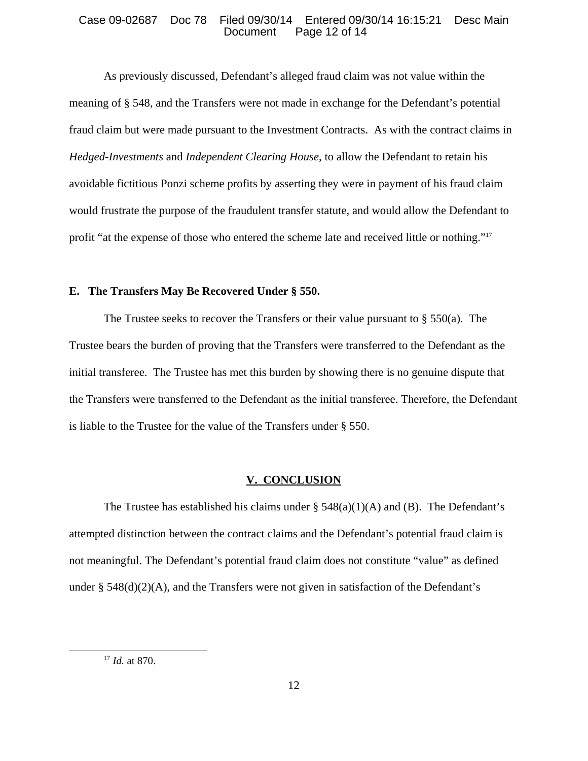#### Case 09-02687 Doc 78 Filed 09/30/14 Entered 09/30/14 16:15:21 Desc Main Page 12 of 14

As previously discussed, Defendant's alleged fraud claim was not value within the meaning of § 548, and the Transfers were not made in exchange for the Defendant's potential fraud claim but were made pursuant to the Investment Contracts. As with the contract claims in *Hedged-Investments* and *Independent Clearing House*, to allow the Defendant to retain his avoidable fictitious Ponzi scheme profits by asserting they were in payment of his fraud claim would frustrate the purpose of the fraudulent transfer statute, and would allow the Defendant to profit "at the expense of those who entered the scheme late and received little or nothing."17

## **E. The Transfers May Be Recovered Under § 550.**

The Trustee seeks to recover the Transfers or their value pursuant to  $\S 550(a)$ . The Trustee bears the burden of proving that the Transfers were transferred to the Defendant as the initial transferee. The Trustee has met this burden by showing there is no genuine dispute that the Transfers were transferred to the Defendant as the initial transferee. Therefore, the Defendant is liable to the Trustee for the value of the Transfers under § 550.

#### **V. CONCLUSION**

The Trustee has established his claims under  $\S$  548(a)(1)(A) and (B). The Defendant's attempted distinction between the contract claims and the Defendant's potential fraud claim is not meaningful. The Defendant's potential fraud claim does not constitute "value" as defined under §  $548(d)(2)(A)$ , and the Transfers were not given in satisfaction of the Defendant's

<sup>17</sup> *Id.* at 870.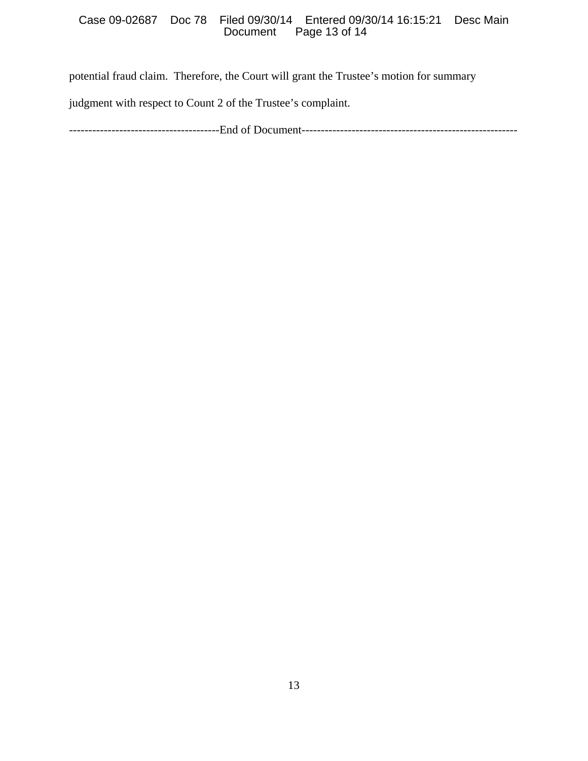## Case 09-02687 Doc 78 Filed 09/30/14 Entered 09/30/14 16:15:21 Desc Main Page 13 of 14

potential fraud claim. Therefore, the Court will grant the Trustee's motion for summary

judgment with respect to Count 2 of the Trustee's complaint.

---------------------------------------End of Document--------------------------------------------------------